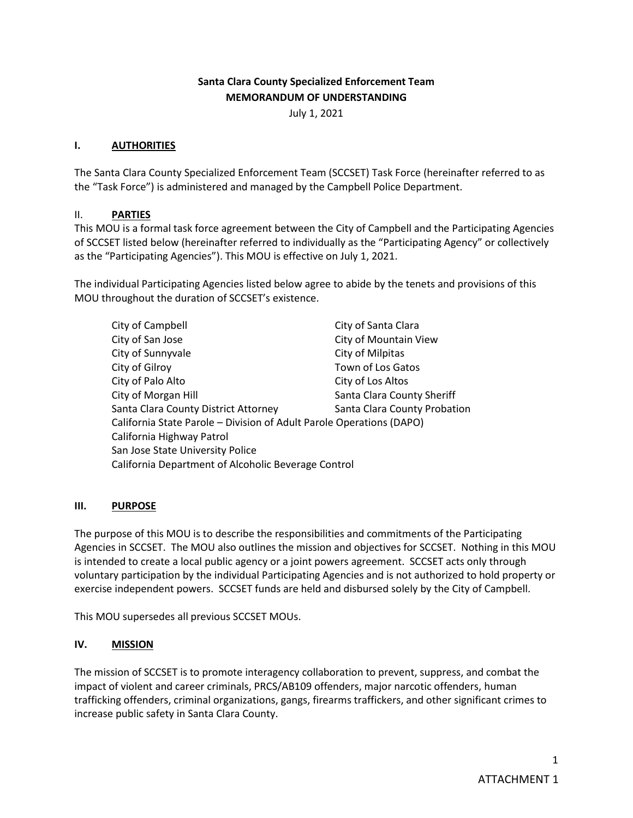# **Santa Clara County Specialized Enforcement Team MEMORANDUM OF UNDERSTANDING**

July 1, 2021

### **I. AUTHORITIES**

The Santa Clara County Specialized Enforcement Team (SCCSET) Task Force (hereinafter referred to as the "Task Force") is administered and managed by the Campbell Police Department.

### II. **PARTIES**

This MOU is a formal task force agreement between the City of Campbell and the Participating Agencies of SCCSET listed below (hereinafter referred to individually as the "Participating Agency" or collectively as the "Participating Agencies"). This MOU is effective on July 1, 2021.

The individual Participating Agencies listed below agree to abide by the tenets and provisions of this MOU throughout the duration of SCCSET's existence.

| City of Campbell                                                     | City of Santa Clara          |
|----------------------------------------------------------------------|------------------------------|
| City of San Jose                                                     | City of Mountain View        |
| City of Sunnyvale                                                    | City of Milpitas             |
| City of Gilroy                                                       | Town of Los Gatos            |
| City of Palo Alto                                                    | City of Los Altos            |
| City of Morgan Hill                                                  | Santa Clara County Sheriff   |
| Santa Clara County District Attorney                                 | Santa Clara County Probation |
| California State Parole - Division of Adult Parole Operations (DAPO) |                              |
| California Highway Patrol                                            |                              |
| San Jose State University Police                                     |                              |
| California Department of Alcoholic Beverage Control                  |                              |

### **III. PURPOSE**

The purpose of this MOU is to describe the responsibilities and commitments of the Participating Agencies in SCCSET. The MOU also outlines the mission and objectives for SCCSET. Nothing in this MOU is intended to create a local public agency or a joint powers agreement. SCCSET acts only through voluntary participation by the individual Participating Agencies and is not authorized to hold property or exercise independent powers. SCCSET funds are held and disbursed solely by the City of Campbell.

This MOU supersedes all previous SCCSET MOUs.

### **IV. MISSION**

The mission of SCCSET is to promote interagency collaboration to prevent, suppress, and combat the impact of violent and career criminals, PRCS/AB109 offenders, major narcotic offenders, human trafficking offenders, criminal organizations, gangs, firearms traffickers, and other significant crimes to increase public safety in Santa Clara County.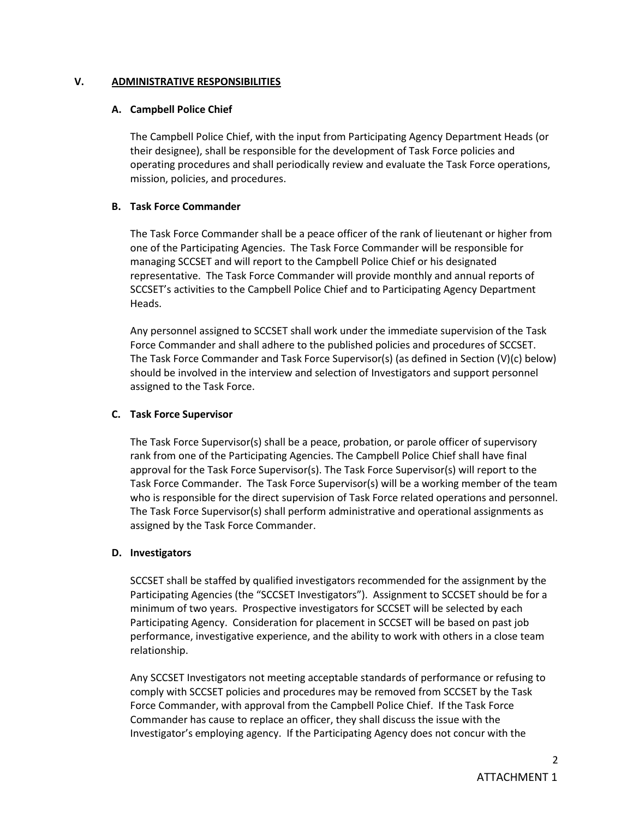#### **V. ADMINISTRATIVE RESPONSIBILITIES**

#### **A. Campbell Police Chief**

The Campbell Police Chief, with the input from Participating Agency Department Heads (or their designee), shall be responsible for the development of Task Force policies and operating procedures and shall periodically review and evaluate the Task Force operations, mission, policies, and procedures.

### **B. Task Force Commander**

The Task Force Commander shall be a peace officer of the rank of lieutenant or higher from one of the Participating Agencies. The Task Force Commander will be responsible for managing SCCSET and will report to the Campbell Police Chief or his designated representative. The Task Force Commander will provide monthly and annual reports of SCCSET's activities to the Campbell Police Chief and to Participating Agency Department Heads.

Any personnel assigned to SCCSET shall work under the immediate supervision of the Task Force Commander and shall adhere to the published policies and procedures of SCCSET. The Task Force Commander and Task Force Supervisor(s) (as defined in Section (V)(c) below) should be involved in the interview and selection of Investigators and support personnel assigned to the Task Force.

### **C. Task Force Supervisor**

The Task Force Supervisor(s) shall be a peace, probation, or parole officer of supervisory rank from one of the Participating Agencies. The Campbell Police Chief shall have final approval for the Task Force Supervisor(s). The Task Force Supervisor(s) will report to the Task Force Commander. The Task Force Supervisor(s) will be a working member of the team who is responsible for the direct supervision of Task Force related operations and personnel. The Task Force Supervisor(s) shall perform administrative and operational assignments as assigned by the Task Force Commander.

### **D. Investigators**

SCCSET shall be staffed by qualified investigators recommended for the assignment by the Participating Agencies (the "SCCSET Investigators"). Assignment to SCCSET should be for a minimum of two years. Prospective investigators for SCCSET will be selected by each Participating Agency. Consideration for placement in SCCSET will be based on past job performance, investigative experience, and the ability to work with others in a close team relationship.

Any SCCSET Investigators not meeting acceptable standards of performance or refusing to comply with SCCSET policies and procedures may be removed from SCCSET by the Task Force Commander, with approval from the Campbell Police Chief. If the Task Force Commander has cause to replace an officer, they shall discuss the issue with the Investigator's employing agency. If the Participating Agency does not concur with the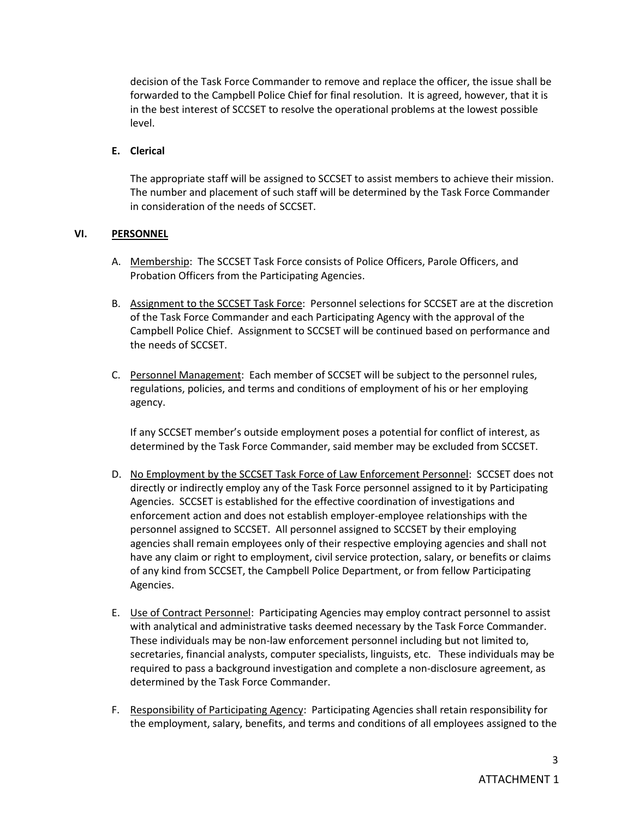decision of the Task Force Commander to remove and replace the officer, the issue shall be forwarded to the Campbell Police Chief for final resolution. It is agreed, however, that it is in the best interest of SCCSET to resolve the operational problems at the lowest possible level.

## **E. Clerical**

The appropriate staff will be assigned to SCCSET to assist members to achieve their mission. The number and placement of such staff will be determined by the Task Force Commander in consideration of the needs of SCCSET.

### **VI. PERSONNEL**

- A. Membership:The SCCSET Task Force consists of Police Officers, Parole Officers, and Probation Officers from the Participating Agencies.
- B. Assignment to the SCCSET Task Force: Personnel selections for SCCSET are at the discretion of the Task Force Commander and each Participating Agency with the approval of the Campbell Police Chief. Assignment to SCCSET will be continued based on performance and the needs of SCCSET.
- C. Personnel Management: Each member of SCCSET will be subject to the personnel rules, regulations, policies, and terms and conditions of employment of his or her employing agency.

If any SCCSET member's outside employment poses a potential for conflict of interest, as determined by the Task Force Commander, said member may be excluded from SCCSET.

- D. No Employment by the SCCSET Task Force of Law Enforcement Personnel:SCCSET does not directly or indirectly employ any of the Task Force personnel assigned to it by Participating Agencies. SCCSET is established for the effective coordination of investigations and enforcement action and does not establish employer-employee relationships with the personnel assigned to SCCSET. All personnel assigned to SCCSET by their employing agencies shall remain employees only of their respective employing agencies and shall not have any claim or right to employment, civil service protection, salary, or benefits or claims of any kind from SCCSET, the Campbell Police Department, or from fellow Participating Agencies.
- E. Use of Contract Personnel: Participating Agencies may employ contract personnel to assist with analytical and administrative tasks deemed necessary by the Task Force Commander. These individuals may be non-law enforcement personnel including but not limited to, secretaries, financial analysts, computer specialists, linguists, etc. These individuals may be required to pass a background investigation and complete a non-disclosure agreement, as determined by the Task Force Commander.
- F. Responsibility of Participating Agency: Participating Agencies shall retain responsibility for the employment, salary, benefits, and terms and conditions of all employees assigned to the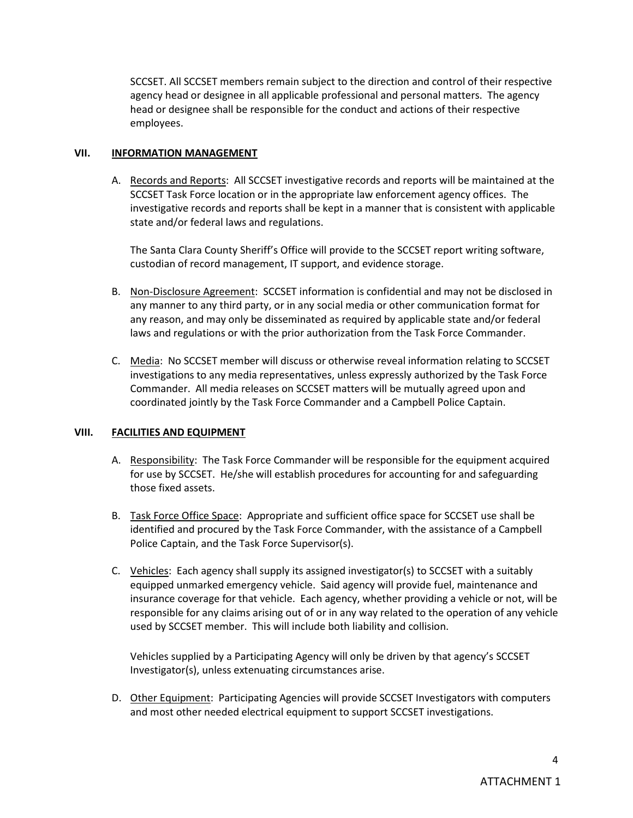SCCSET. All SCCSET members remain subject to the direction and control of their respective agency head or designee in all applicable professional and personal matters. The agency head or designee shall be responsible for the conduct and actions of their respective employees.

### **VII. INFORMATION MANAGEMENT**

A. Records and Reports: All SCCSET investigative records and reports will be maintained at the SCCSET Task Force location or in the appropriate law enforcement agency offices. The investigative records and reports shall be kept in a manner that is consistent with applicable state and/or federal laws and regulations.

The Santa Clara County Sheriff's Office will provide to the SCCSET report writing software, custodian of record management, IT support, and evidence storage.

- B. Non-Disclosure Agreement:SCCSET information is confidential and may not be disclosed in any manner to any third party, or in any social media or other communication format for any reason, and may only be disseminated as required by applicable state and/or federal laws and regulations or with the prior authorization from the Task Force Commander.
- C. Media: No SCCSET member will discuss or otherwise reveal information relating to SCCSET investigations to any media representatives, unless expressly authorized by the Task Force Commander. All media releases on SCCSET matters will be mutually agreed upon and coordinated jointly by the Task Force Commander and a Campbell Police Captain.

# **VIII. FACILITIES AND EQUIPMENT**

- A. Responsibility: The Task Force Commander will be responsible for the equipment acquired for use by SCCSET. He/she will establish procedures for accounting for and safeguarding those fixed assets.
- B. Task Force Office Space: Appropriate and sufficient office space for SCCSET use shall be identified and procured by the Task Force Commander, with the assistance of a Campbell Police Captain, and the Task Force Supervisor(s).
- C. Vehicles: Each agency shall supply its assigned investigator(s) to SCCSET with a suitably equipped unmarked emergency vehicle. Said agency will provide fuel, maintenance and insurance coverage for that vehicle. Each agency, whether providing a vehicle or not, will be responsible for any claims arising out of or in any way related to the operation of any vehicle used by SCCSET member. This will include both liability and collision.

Vehicles supplied by a Participating Agency will only be driven by that agency's SCCSET Investigator(s), unless extenuating circumstances arise.

D. Other Equipment: Participating Agencies will provide SCCSET Investigators with computers and most other needed electrical equipment to support SCCSET investigations.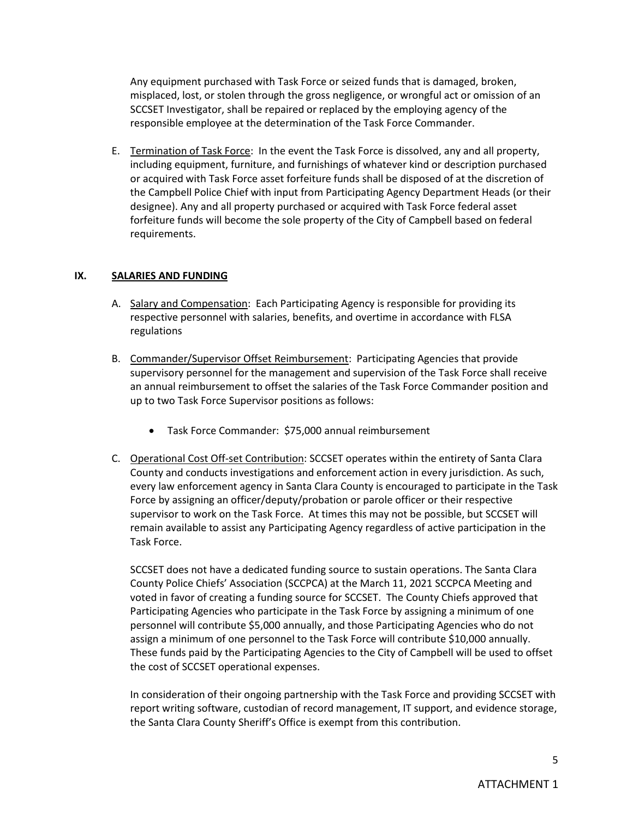Any equipment purchased with Task Force or seized funds that is damaged, broken, misplaced, lost, or stolen through the gross negligence, or wrongful act or omission of an SCCSET Investigator, shall be repaired or replaced by the employing agency of the responsible employee at the determination of the Task Force Commander.

E. Termination of Task Force: In the event the Task Force is dissolved, any and all property, including equipment, furniture, and furnishings of whatever kind or description purchased or acquired with Task Force asset forfeiture funds shall be disposed of at the discretion of the Campbell Police Chief with input from Participating Agency Department Heads (or their designee). Any and all property purchased or acquired with Task Force federal asset forfeiture funds will become the sole property of the City of Campbell based on federal requirements.

### **IX. SALARIES AND FUNDING**

- A. Salary and Compensation: Each Participating Agency is responsible for providing its respective personnel with salaries, benefits, and overtime in accordance with FLSA regulations
- B. Commander/Supervisor Offset Reimbursement: Participating Agencies that provide supervisory personnel for the management and supervision of the Task Force shall receive an annual reimbursement to offset the salaries of the Task Force Commander position and up to two Task Force Supervisor positions as follows:
	- Task Force Commander: \$75,000 annual reimbursement
- C. Operational Cost Off-set Contribution: SCCSET operates within the entirety of Santa Clara County and conducts investigations and enforcement action in every jurisdiction. As such, every law enforcement agency in Santa Clara County is encouraged to participate in the Task Force by assigning an officer/deputy/probation or parole officer or their respective supervisor to work on the Task Force. At times this may not be possible, but SCCSET will remain available to assist any Participating Agency regardless of active participation in the Task Force.

SCCSET does not have a dedicated funding source to sustain operations. The Santa Clara County Police Chiefs' Association (SCCPCA) at the March 11, 2021 SCCPCA Meeting and voted in favor of creating a funding source for SCCSET. The County Chiefs approved that Participating Agencies who participate in the Task Force by assigning a minimum of one personnel will contribute \$5,000 annually, and those Participating Agencies who do not assign a minimum of one personnel to the Task Force will contribute \$10,000 annually. These funds paid by the Participating Agencies to the City of Campbell will be used to offset the cost of SCCSET operational expenses.

In consideration of their ongoing partnership with the Task Force and providing SCCSET with report writing software, custodian of record management, IT support, and evidence storage, the Santa Clara County Sheriff's Office is exempt from this contribution.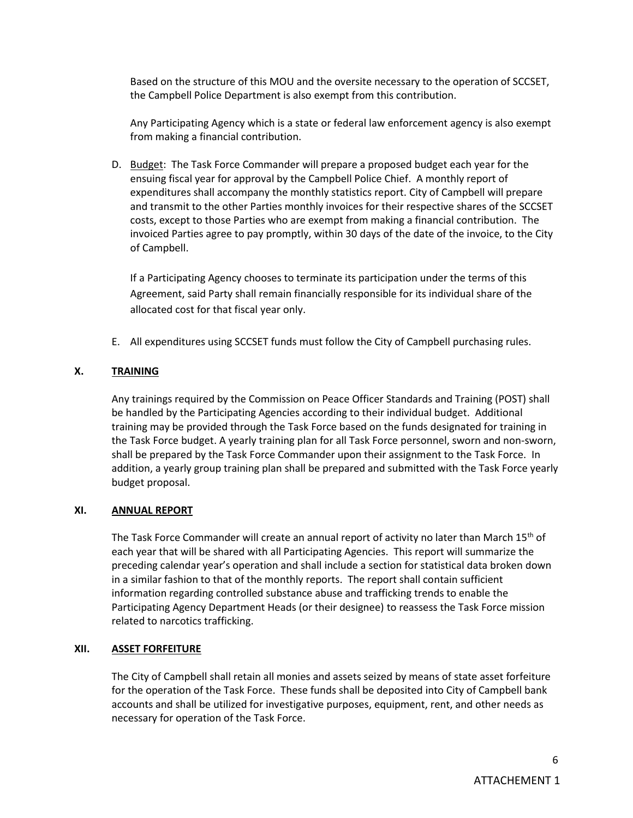Based on the structure of this MOU and the oversite necessary to the operation of SCCSET, the Campbell Police Department is also exempt from this contribution.

Any Participating Agency which is a state or federal law enforcement agency is also exempt from making a financial contribution.

D. Budget: The Task Force Commander will prepare a proposed budget each year for the ensuing fiscal year for approval by the Campbell Police Chief. A monthly report of expenditures shall accompany the monthly statistics report. City of Campbell will prepare and transmit to the other Parties monthly invoices for their respective shares of the SCCSET costs, except to those Parties who are exempt from making a financial contribution. The invoiced Parties agree to pay promptly, within 30 days of the date of the invoice, to the City of Campbell.

If a Participating Agency chooses to terminate its participation under the terms of this Agreement, said Party shall remain financially responsible for its individual share of the allocated cost for that fiscal year only.

E. All expenditures using SCCSET funds must follow the City of Campbell purchasing rules.

# **X. TRAINING**

Any trainings required by the Commission on Peace Officer Standards and Training (POST) shall be handled by the Participating Agencies according to their individual budget. Additional training may be provided through the Task Force based on the funds designated for training in the Task Force budget. A yearly training plan for all Task Force personnel, sworn and non-sworn, shall be prepared by the Task Force Commander upon their assignment to the Task Force. In addition, a yearly group training plan shall be prepared and submitted with the Task Force yearly budget proposal.

### **XI. ANNUAL REPORT**

The Task Force Commander will create an annual report of activity no later than March 15<sup>th</sup> of each year that will be shared with all Participating Agencies. This report will summarize the preceding calendar year's operation and shall include a section for statistical data broken down in a similar fashion to that of the monthly reports. The report shall contain sufficient information regarding controlled substance abuse and trafficking trends to enable the Participating Agency Department Heads (or their designee) to reassess the Task Force mission related to narcotics trafficking.

### **XII. ASSET FORFEITURE**

The City of Campbell shall retain all monies and assets seized by means of state asset forfeiture for the operation of the Task Force. These funds shall be deposited into City of Campbell bank accounts and shall be utilized for investigative purposes, equipment, rent, and other needs as necessary for operation of the Task Force.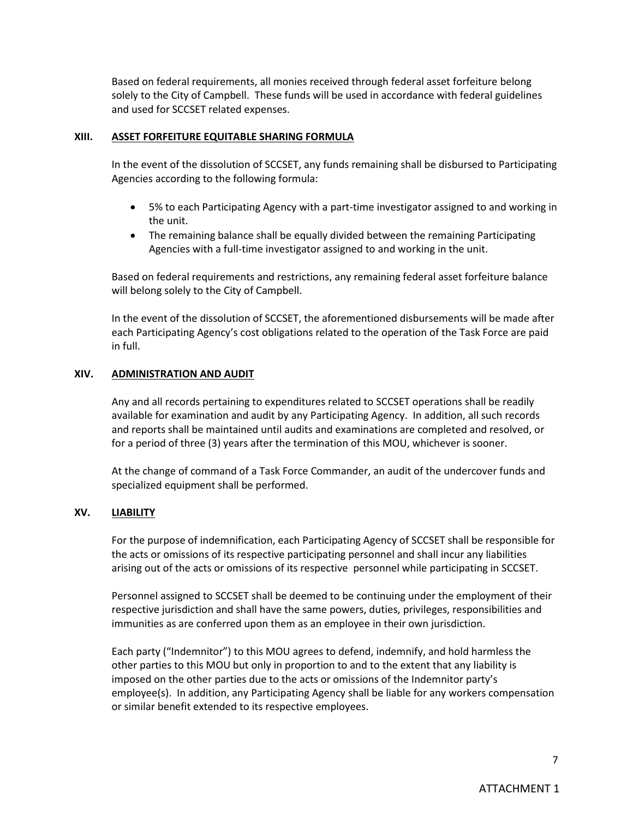Based on federal requirements, all monies received through federal asset forfeiture belong solely to the City of Campbell. These funds will be used in accordance with federal guidelines and used for SCCSET related expenses.

#### **XIII. ASSET FORFEITURE EQUITABLE SHARING FORMULA**

In the event of the dissolution of SCCSET, any funds remaining shall be disbursed to Participating Agencies according to the following formula:

- 5% to each Participating Agency with a part-time investigator assigned to and working in the unit.
- The remaining balance shall be equally divided between the remaining Participating Agencies with a full-time investigator assigned to and working in the unit.

Based on federal requirements and restrictions, any remaining federal asset forfeiture balance will belong solely to the City of Campbell.

In the event of the dissolution of SCCSET, the aforementioned disbursements will be made after each Participating Agency's cost obligations related to the operation of the Task Force are paid in full.

### **XIV. ADMINISTRATION AND AUDIT**

Any and all records pertaining to expenditures related to SCCSET operations shall be readily available for examination and audit by any Participating Agency. In addition, all such records and reports shall be maintained until audits and examinations are completed and resolved, or for a period of three (3) years after the termination of this MOU, whichever is sooner.

At the change of command of a Task Force Commander, an audit of the undercover funds and specialized equipment shall be performed.

### **XV. LIABILITY**

For the purpose of indemnification, each Participating Agency of SCCSET shall be responsible for the acts or omissions of its respective participating personnel and shall incur any liabilities arising out of the acts or omissions of its respective personnel while participating in SCCSET.

Personnel assigned to SCCSET shall be deemed to be continuing under the employment of their respective jurisdiction and shall have the same powers, duties, privileges, responsibilities and immunities as are conferred upon them as an employee in their own jurisdiction.

Each party ("Indemnitor") to this MOU agrees to defend, indemnify, and hold harmless the other parties to this MOU but only in proportion to and to the extent that any liability is imposed on the other parties due to the acts or omissions of the Indemnitor party's employee(s). In addition, any Participating Agency shall be liable for any workers compensation or similar benefit extended to its respective employees.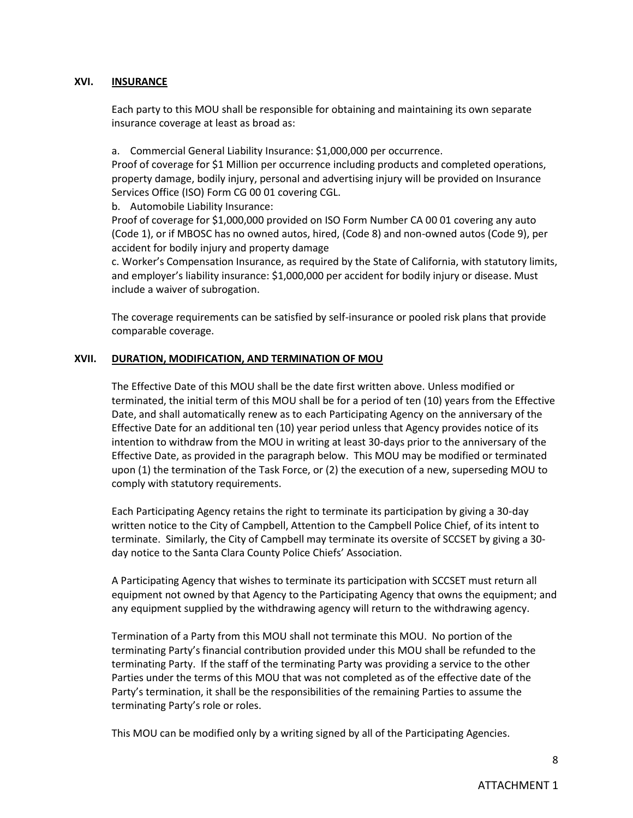#### **XVI. INSURANCE**

Each party to this MOU shall be responsible for obtaining and maintaining its own separate insurance coverage at least as broad as:

a. Commercial General Liability Insurance: \$1,000,000 per occurrence.

Proof of coverage for \$1 Million per occurrence including products and completed operations, property damage, bodily injury, personal and advertising injury will be provided on Insurance Services Office (ISO) Form CG 00 01 covering CGL.

b. Automobile Liability Insurance:

Proof of coverage for \$1,000,000 provided on ISO Form Number CA 00 01 covering any auto (Code 1), or if MBOSC has no owned autos, hired, (Code 8) and non-owned autos (Code 9), per accident for bodily injury and property damage

c. Worker's Compensation Insurance, as required by the State of California, with statutory limits, and employer's liability insurance: \$1,000,000 per accident for bodily injury or disease. Must include a waiver of subrogation.

The coverage requirements can be satisfied by self-insurance or pooled risk plans that provide comparable coverage.

### **XVII. DURATION, MODIFICATION, AND TERMINATION OF MOU**

The Effective Date of this MOU shall be the date first written above. Unless modified or terminated, the initial term of this MOU shall be for a period of ten (10) years from the Effective Date, and shall automatically renew as to each Participating Agency on the anniversary of the Effective Date for an additional ten (10) year period unless that Agency provides notice of its intention to withdraw from the MOU in writing at least 30-days prior to the anniversary of the Effective Date, as provided in the paragraph below. This MOU may be modified or terminated upon (1) the termination of the Task Force, or (2) the execution of a new, superseding MOU to comply with statutory requirements.

Each Participating Agency retains the right to terminate its participation by giving a 30-day written notice to the City of Campbell, Attention to the Campbell Police Chief, of its intent to terminate. Similarly, the City of Campbell may terminate its oversite of SCCSET by giving a 30 day notice to the Santa Clara County Police Chiefs' Association.

A Participating Agency that wishes to terminate its participation with SCCSET must return all equipment not owned by that Agency to the Participating Agency that owns the equipment; and any equipment supplied by the withdrawing agency will return to the withdrawing agency.

Termination of a Party from this MOU shall not terminate this MOU. No portion of the terminating Party's financial contribution provided under this MOU shall be refunded to the terminating Party. If the staff of the terminating Party was providing a service to the other Parties under the terms of this MOU that was not completed as of the effective date of the Party's termination, it shall be the responsibilities of the remaining Parties to assume the terminating Party's role or roles.

This MOU can be modified only by a writing signed by all of the Participating Agencies.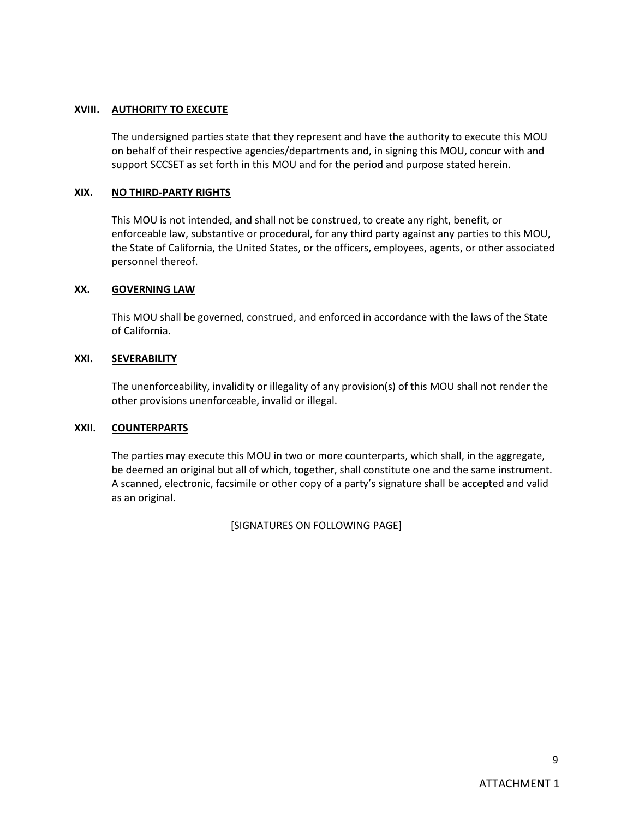#### **XVIII. AUTHORITY TO EXECUTE**

The undersigned parties state that they represent and have the authority to execute this MOU on behalf of their respective agencies/departments and, in signing this MOU, concur with and support SCCSET as set forth in this MOU and for the period and purpose stated herein.

#### **XIX. NO THIRD-PARTY RIGHTS**

This MOU is not intended, and shall not be construed, to create any right, benefit, or enforceable law, substantive or procedural, for any third party against any parties to this MOU, the State of California, the United States, or the officers, employees, agents, or other associated personnel thereof.

### **XX. GOVERNING LAW**

This MOU shall be governed, construed, and enforced in accordance with the laws of the State of California.

### **XXI. SEVERABILITY**

The unenforceability, invalidity or illegality of any provision(s) of this MOU shall not render the other provisions unenforceable, invalid or illegal.

#### **XXII. COUNTERPARTS**

The parties may execute this MOU in two or more counterparts, which shall, in the aggregate, be deemed an original but all of which, together, shall constitute one and the same instrument. A scanned, electronic, facsimile or other copy of a party's signature shall be accepted and valid as an original.

[SIGNATURES ON FOLLOWING PAGE]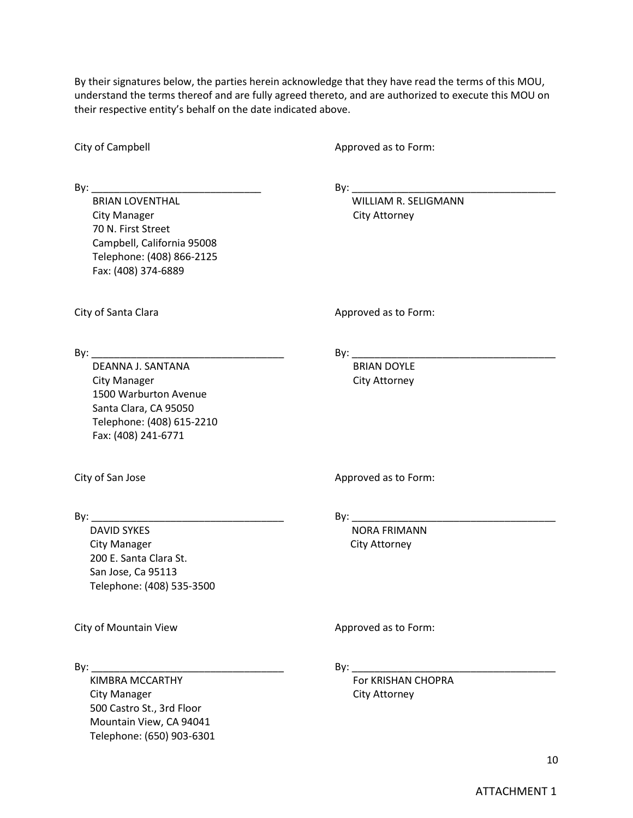By their signatures below, the parties herein acknowledge that they have read the terms of this MOU, understand the terms thereof and are fully agreed thereto, and are authorized to execute this MOU on their respective entity's behalf on the date indicated above.

City of Campbell **Approved** as to Form:

 BRIAN LOVENTHAL WILLIAM R. SELIGMANN City Manager City Attorney 70 N. First Street Campbell, California 95008 Telephone: (408) 866-2125 Fax: (408) 374-6889

By: \_\_\_\_\_\_\_\_\_\_\_\_\_\_\_\_\_\_\_\_\_\_\_\_\_\_\_\_\_\_ By: \_\_\_\_\_\_\_\_\_\_\_\_\_\_\_\_\_\_\_\_\_\_\_\_\_\_\_\_\_\_\_\_\_\_\_\_

City of Santa Clara Approved as to Form:

DEANNA J. SANTANA BRIAN DOYLE City Manager **City Attorney** 1500 Warburton Avenue Santa Clara, CA 95050 Telephone: (408) 615-2210 Fax: (408) 241-6771

By: \_\_\_\_\_\_\_\_\_\_\_\_\_\_\_\_\_\_\_\_\_\_\_\_\_\_\_\_\_\_\_\_\_\_ By: \_\_\_\_\_\_\_\_\_\_\_\_\_\_\_\_\_\_\_\_\_\_\_\_\_\_\_\_\_\_\_\_\_\_\_\_

DAVID SYKES NORA FRIMANN City Manager City Attorney 200 E. Santa Clara St. San Jose, Ca 95113 Telephone: (408) 535-3500

City of Mountain View Approved as to Form:

By: \_\_\_\_\_\_\_\_\_\_\_\_\_\_\_\_\_\_\_\_\_\_\_\_\_\_\_\_\_\_\_\_\_\_ By: \_\_\_\_\_\_\_\_\_\_\_\_\_\_\_\_\_\_\_\_\_\_\_\_\_\_\_\_\_\_\_\_\_\_\_\_

KIMBRA MCCARTHY FOR KRISHAN CHOPRA City Manager City Attorney 500 Castro St., 3rd Floor Mountain View, CA 94041 Telephone: (650) 903-6301

City of San Jose Approved as to Form:

By: \_\_\_\_\_\_\_\_\_\_\_\_\_\_\_\_\_\_\_\_\_\_\_\_\_\_\_\_\_\_\_\_\_\_ By: \_\_\_\_\_\_\_\_\_\_\_\_\_\_\_\_\_\_\_\_\_\_\_\_\_\_\_\_\_\_\_\_\_\_\_\_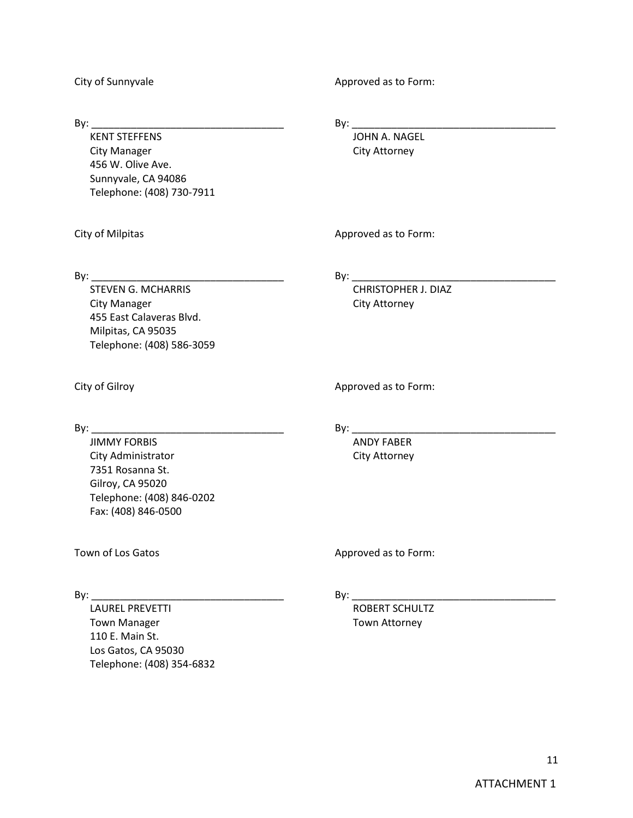City of Sunnyvale **Approved** as to Form:

By: \_\_\_\_\_\_\_\_\_\_\_\_\_\_\_\_\_\_\_\_\_\_\_\_\_\_\_\_\_\_\_\_\_\_ By: \_\_\_\_\_\_\_\_\_\_\_\_\_\_\_\_\_\_\_\_\_\_\_\_\_\_\_\_\_\_\_\_\_\_\_\_ **KENT STEFFENS** City Manager City Attorney 456 W. Olive Ave. Sunnyvale, CA 94086 Telephone: (408) 730-7911

City of Milpitas **Approved** as to Form:

By: \_\_\_\_\_\_\_\_\_\_\_\_\_\_\_\_\_\_\_\_\_\_\_\_\_\_\_\_\_\_\_\_\_\_ By: \_\_\_\_\_\_\_\_\_\_\_\_\_\_\_\_\_\_\_\_\_\_\_\_\_\_\_\_\_\_\_\_\_\_\_\_

STEVEN G. MCHARRIS CHRISTOPHER J. DIAZ City Manager **City Attorney** 455 East Calaveras Blvd. Milpitas, CA 95035 Telephone: (408) 586-3059

City of Gilroy **Approved as to Form:** 

By: \_\_\_\_\_\_\_\_\_\_\_\_\_\_\_\_\_\_\_\_\_\_\_\_\_\_\_\_\_\_\_\_\_\_ By: \_\_\_\_\_\_\_\_\_\_\_\_\_\_\_\_\_\_\_\_\_\_\_\_\_\_\_\_\_\_\_\_\_\_\_\_

JIMMY FORBIS ANDY FABER City Administrator City Attorney 7351 Rosanna St. Gilroy, CA 95020 Telephone: (408) 846-0202 Fax: (408) 846-0500

Town of Los Gatos **Approved** as to Form:

 $\mathsf{By:}\_\_\_\_\_\_\_$ 

LAUREL PREVETTI ETA ETA ETA ETA EROBERT SCHULTZ Town Manager Town Attorney 110 E. Main St. Los Gatos, CA 95030 Telephone: (408) 354-6832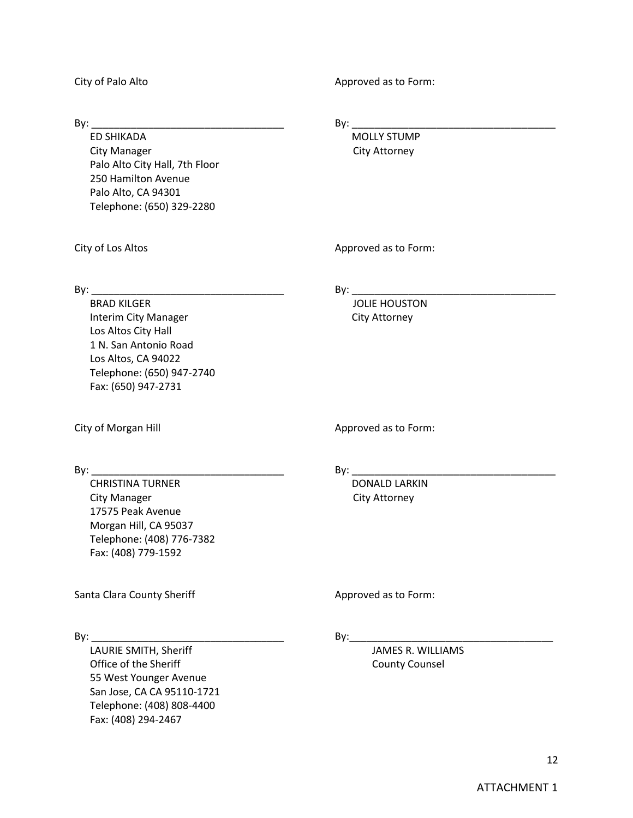City of Palo Alto **Alto Accord Accord Accord Approved** as to Form:

ED SHIKADA MOLLY STUMP City Manager **City Attorney** Palo Alto City Hall, 7th Floor 250 Hamilton Avenue Palo Alto, CA 94301 Telephone: (650) 329-2280

By: \_\_\_\_\_\_\_\_\_\_\_\_\_\_\_\_\_\_\_\_\_\_\_\_\_\_\_\_\_\_\_\_\_\_ By: \_\_\_\_\_\_\_\_\_\_\_\_\_\_\_\_\_\_\_\_\_\_\_\_\_\_\_\_\_\_\_\_\_\_\_\_

City of Los Altos **Approved** as to Form:

 $\mathsf{By:}\_\_\_\_\_\_\_$ 

BRAD KILGER **IN A SERVER SERVER THE SERVER OF STATE HOUSTON** Interim City Manager City Attorney

City of Morgan Hill Approved as to Form:

Los Altos City Hall 1 N. San Antonio Road Los Altos, CA 94022

Fax: (650) 947-2731

Telephone: (650) 947-2740

By: \_\_\_\_\_\_\_\_\_\_\_\_\_\_\_\_\_\_\_\_\_\_\_\_\_\_\_\_\_\_\_\_\_\_ By: \_\_\_\_\_\_\_\_\_\_\_\_\_\_\_\_\_\_\_\_\_\_\_\_\_\_\_\_\_\_\_\_\_\_\_\_

CHRISTINA TURNER DONALD LARKIN City Manager **City Attorney** 17575 Peak Avenue Morgan Hill, CA 95037 Telephone: (408) 776-7382 Fax: (408) 779-1592

Santa Clara County Sheriff Approved as to Form:

LAURIE SMITH, Sheriff JAMES R. WILLIAMS Office of the Sheriff County County Counsel 55 West Younger Avenue San Jose, CA CA 95110-1721 Telephone: (408) 808-4400 Fax: (408) 294-2467

By: \_\_\_\_\_\_\_\_\_\_\_\_\_\_\_\_\_\_\_\_\_\_\_\_\_\_\_\_\_\_\_\_\_\_ By:\_\_\_\_\_\_\_\_\_\_\_\_\_\_\_\_\_\_\_\_\_\_\_\_\_\_\_\_\_\_\_\_\_\_\_\_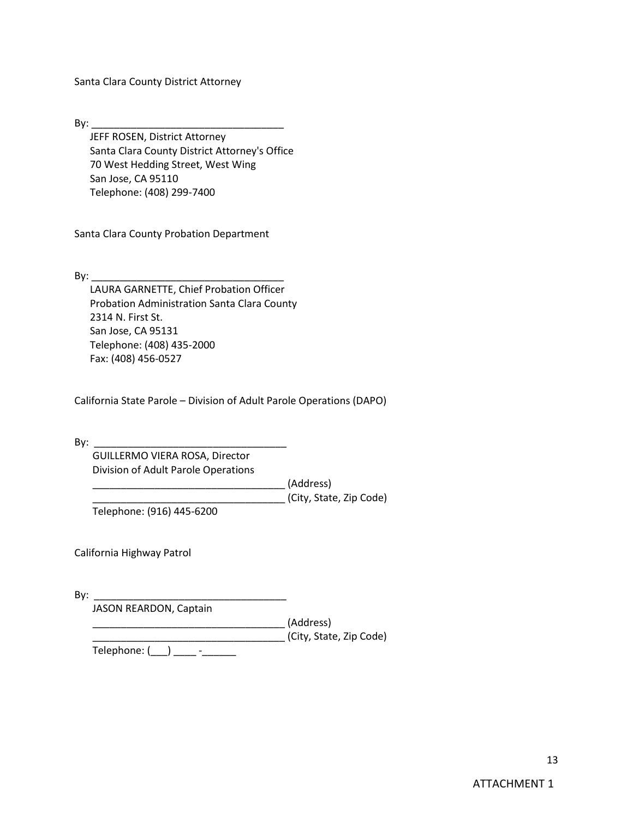Santa Clara County District Attorney

By: \_\_\_\_\_\_\_\_\_\_\_\_\_\_\_\_\_\_\_\_\_\_\_\_\_\_\_\_\_\_\_\_\_\_

JEFF ROSEN, District Attorney Santa Clara County District Attorney's Office 70 West Hedding Street, West Wing San Jose, CA 95110 Telephone: (408) 299-7400

Santa Clara County Probation Department

 $By:$ 

LAURA GARNETTE, Chief Probation Officer Probation Administration Santa Clara County 2314 N. First St. San Jose, CA 95131 Telephone: (408) 435-2000 Fax: (408) 456-0527

California State Parole – Division of Adult Parole Operations (DAPO)

By: \_\_\_\_\_\_\_\_\_\_\_\_\_\_\_\_\_\_\_\_\_\_\_\_\_\_\_\_\_\_\_\_\_\_

 GUILLERMO VIERA ROSA, Director Division of Adult Parole Operations

 \_\_\_\_\_\_\_\_\_\_\_\_\_\_\_\_\_\_\_\_\_\_\_\_\_\_\_\_\_\_\_\_\_\_ (Address) \_\_\_\_\_\_\_\_\_\_\_\_\_\_\_\_\_\_\_\_\_\_\_\_\_\_\_\_\_\_\_\_\_\_ (City, State, Zip Code)

Telephone: (916) 445-6200

California Highway Patrol

By: \_\_\_\_\_\_\_\_\_\_\_\_\_\_\_\_\_\_\_\_\_\_\_\_\_\_\_\_\_\_\_\_\_\_ JASON REARDON, Captain \_\_\_\_\_\_\_\_\_\_\_\_\_\_\_\_\_\_\_\_\_\_\_\_\_\_\_\_\_\_\_\_\_\_ (Address) \_\_\_\_\_\_\_\_\_\_\_\_\_\_\_\_\_\_\_\_\_\_\_\_\_\_\_\_\_\_\_\_\_\_ (City, State, Zip Code)

Telephone: (\_\_\_) \_\_\_\_\_ -\_\_\_\_\_